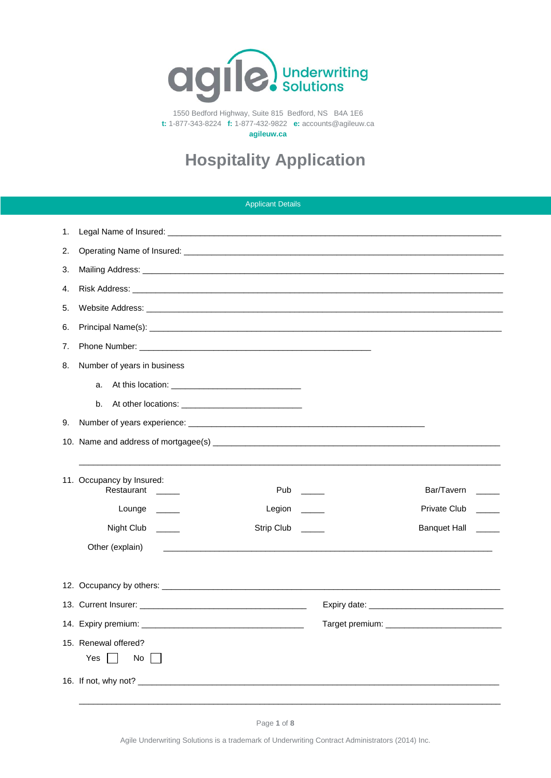

1550 Bedford Highway, Suite 815 Bedford, NS B4A 1E6 **t:** 1-877-343-8224 **f:** 1-877-432-9822 **e:** accounts@agileuw.ca

**agileuw.ca**

# **Hospitality Application**

|    |                                                                              | <b>Applicant Details</b> |                     |
|----|------------------------------------------------------------------------------|--------------------------|---------------------|
| 1. |                                                                              |                          |                     |
| 2. |                                                                              |                          |                     |
| 3. |                                                                              |                          |                     |
| 4. |                                                                              |                          |                     |
| 5. |                                                                              |                          |                     |
| 6. |                                                                              |                          |                     |
| 7. |                                                                              |                          |                     |
| 8. | Number of years in business                                                  |                          |                     |
|    | a.                                                                           |                          |                     |
|    | b.                                                                           |                          |                     |
| 9. |                                                                              |                          |                     |
|    |                                                                              |                          |                     |
|    |                                                                              |                          |                     |
|    | 11. Occupancy by Insured:<br>Restaurant<br><b>Contract Contract Contract</b> | Pub                      | Bar/Tavern          |
|    | Lounge $\_\_$                                                                | Legion <sub>____</sub>   | Private Club        |
|    | Night Club _____                                                             | Strip Club               | <b>Banquet Hall</b> |
|    | Other (explain)                                                              |                          |                     |
|    |                                                                              |                          |                     |
|    |                                                                              |                          |                     |
|    |                                                                              |                          |                     |
|    |                                                                              |                          |                     |
|    | 15. Renewal offered?                                                         |                          |                     |
|    | Yes<br>No                                                                    |                          |                     |
|    |                                                                              |                          |                     |
|    |                                                                              |                          |                     |

Agile Underwriting Solutions is a trademark of Underwriting Contract Administrators (2014) Inc.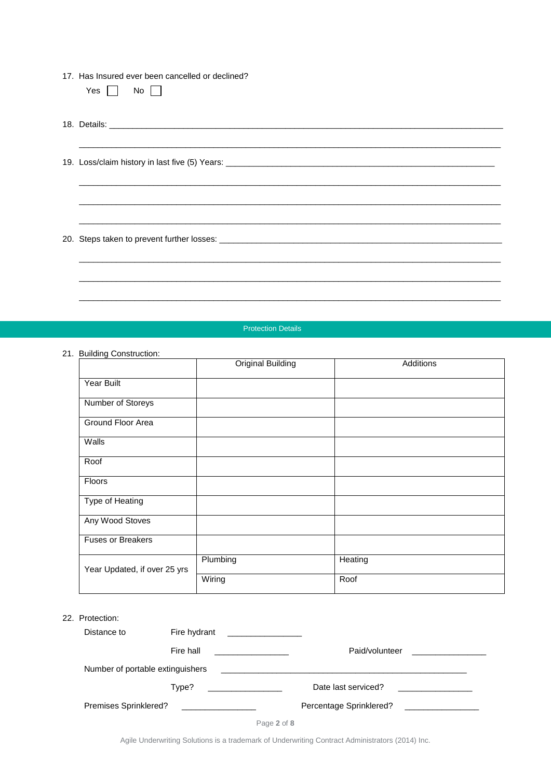| 17. Has Insured ever been cancelled or declined? |  |  |  |  |  |
|--------------------------------------------------|--|--|--|--|--|
|--------------------------------------------------|--|--|--|--|--|

| ىد<br>× | חו<br>$\sim$ |  |
|---------|--------------|--|
|---------|--------------|--|

18. Details: \_\_\_\_\_\_\_\_\_\_\_\_\_\_\_\_\_\_\_\_\_\_\_\_\_\_\_\_\_\_\_\_\_\_\_\_\_\_\_\_\_\_\_\_\_\_\_\_\_\_\_\_\_\_\_\_\_\_\_\_\_\_\_\_\_\_\_\_\_\_\_\_\_\_\_\_\_\_\_\_\_\_\_\_\_ \_\_\_\_\_\_\_\_\_\_\_\_\_\_\_\_\_\_\_\_\_\_\_\_\_\_\_\_\_\_\_\_\_\_\_\_\_\_\_\_\_\_\_\_\_\_\_\_\_\_\_\_\_\_\_\_\_\_\_\_\_\_\_\_\_\_\_\_\_\_\_\_\_\_\_\_\_\_\_\_\_\_\_\_\_\_\_\_\_\_\_

\_\_\_\_\_\_\_\_\_\_\_\_\_\_\_\_\_\_\_\_\_\_\_\_\_\_\_\_\_\_\_\_\_\_\_\_\_\_\_\_\_\_\_\_\_\_\_\_\_\_\_\_\_\_\_\_\_\_\_\_\_\_\_\_\_\_\_\_\_\_\_\_\_\_\_\_\_\_\_\_\_\_\_\_\_\_\_\_\_\_\_

\_\_\_\_\_\_\_\_\_\_\_\_\_\_\_\_\_\_\_\_\_\_\_\_\_\_\_\_\_\_\_\_\_\_\_\_\_\_\_\_\_\_\_\_\_\_\_\_\_\_\_\_\_\_\_\_\_\_\_\_\_\_\_\_\_\_\_\_\_\_\_\_\_\_\_\_\_\_\_\_\_\_\_\_\_\_\_\_\_\_\_

\_\_\_\_\_\_\_\_\_\_\_\_\_\_\_\_\_\_\_\_\_\_\_\_\_\_\_\_\_\_\_\_\_\_\_\_\_\_\_\_\_\_\_\_\_\_\_\_\_\_\_\_\_\_\_\_\_\_\_\_\_\_\_\_\_\_\_\_\_\_\_\_\_\_\_\_\_\_\_\_\_\_\_\_\_\_\_\_\_\_\_

\_\_\_\_\_\_\_\_\_\_\_\_\_\_\_\_\_\_\_\_\_\_\_\_\_\_\_\_\_\_\_\_\_\_\_\_\_\_\_\_\_\_\_\_\_\_\_\_\_\_\_\_\_\_\_\_\_\_\_\_\_\_\_\_\_\_\_\_\_\_\_\_\_\_\_\_\_\_\_\_\_\_\_\_\_\_\_\_\_\_\_

 $\_$  ,  $\_$  ,  $\_$  ,  $\_$  ,  $\_$  ,  $\_$  ,  $\_$  ,  $\_$  ,  $\_$  ,  $\_$  ,  $\_$  ,  $\_$  ,  $\_$  ,  $\_$  ,  $\_$  ,  $\_$  ,  $\_$  ,  $\_$  ,  $\_$  ,  $\_$  ,  $\_$  ,  $\_$  ,  $\_$  ,  $\_$  ,  $\_$  ,  $\_$  ,  $\_$  ,  $\_$  ,  $\_$  ,  $\_$  ,  $\_$  ,  $\_$  ,  $\_$  ,  $\_$  ,  $\_$  ,  $\_$  ,  $\_$  ,

\_\_\_\_\_\_\_\_\_\_\_\_\_\_\_\_\_\_\_\_\_\_\_\_\_\_\_\_\_\_\_\_\_\_\_\_\_\_\_\_\_\_\_\_\_\_\_\_\_\_\_\_\_\_\_\_\_\_\_\_\_\_\_\_\_\_\_\_\_\_\_\_\_\_\_\_\_\_\_\_\_\_\_\_\_\_\_\_\_\_\_

19. Loss/claim history in last five (5) Years: \_\_\_\_\_\_\_\_\_\_

20. Steps taken to prevent further losses: \_

#### Protection Details

#### 21. Building Construction:

|                              | <b>Original Building</b> | Additions |
|------------------------------|--------------------------|-----------|
| Year Built                   |                          |           |
| Number of Storeys            |                          |           |
| Ground Floor Area            |                          |           |
| Walls                        |                          |           |
| Roof                         |                          |           |
| Floors                       |                          |           |
| Type of Heating              |                          |           |
| Any Wood Stoves              |                          |           |
| <b>Fuses or Breakers</b>     |                          |           |
| Year Updated, if over 25 yrs | Plumbing                 | Heating   |
|                              | Wiring                   | Roof      |

| 22. Protection:                  |                                            |                                                                                                                       |  |
|----------------------------------|--------------------------------------------|-----------------------------------------------------------------------------------------------------------------------|--|
| Distance to                      | Fire hydrant                               |                                                                                                                       |  |
|                                  | Fire hall                                  | Paid/volunteer                                                                                                        |  |
| Number of portable extinguishers |                                            | <u> 1989 - John Stein, mars and de film and de film and de film and de film and de film and de film and de film a</u> |  |
|                                  | Type?<br>and the control of the control of | Date last serviced?                                                                                                   |  |
| Premises Sprinklered?            |                                            | Percentage Sprinklered?                                                                                               |  |

|--|--|--|--|

Agile Underwriting Solutions is a trademark of Underwriting Contract Administrators (2014) Inc.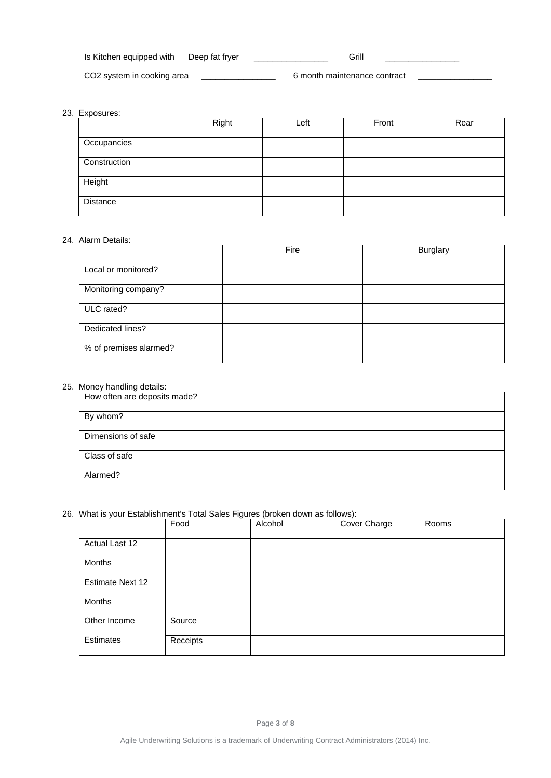| Is Kitchen equipped with   | Deep fat fryer | Grill                        |  |
|----------------------------|----------------|------------------------------|--|
| CO2 system in cooking area |                | 6 month maintenance contract |  |

## 23. Exposures:

|                 | Right | Left | Front | Rear |
|-----------------|-------|------|-------|------|
| Occupancies     |       |      |       |      |
| Construction    |       |      |       |      |
| Height          |       |      |       |      |
| <b>Distance</b> |       |      |       |      |

## 24. Alarm Details:

|                        | Fire | <b>Burglary</b> |
|------------------------|------|-----------------|
| Local or monitored?    |      |                 |
| Monitoring company?    |      |                 |
| ULC rated?             |      |                 |
| Dedicated lines?       |      |                 |
| % of premises alarmed? |      |                 |

## 25. Money handling details:

| How often are deposits made? |  |
|------------------------------|--|
| By whom?                     |  |
| Dimensions of safe           |  |
| Class of safe                |  |
| Alarmed?                     |  |

## 26. What is your Establishment's Total Sales Figures (broken down as follows):

|                  | Food     | Alcohol | Cover Charge | Rooms |
|------------------|----------|---------|--------------|-------|
| Actual Last 12   |          |         |              |       |
| Months           |          |         |              |       |
| Estimate Next 12 |          |         |              |       |
| Months           |          |         |              |       |
| Other Income     | Source   |         |              |       |
| <b>Estimates</b> | Receipts |         |              |       |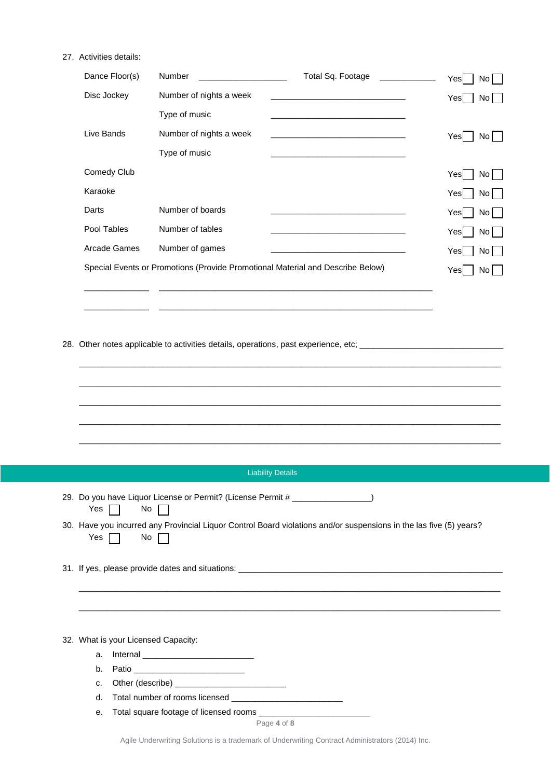## 27. Activities details:

| Dance Floor(s) | Number                                                                         | Total Sq. Footage                                                                                                    | Yes<br>No l             |
|----------------|--------------------------------------------------------------------------------|----------------------------------------------------------------------------------------------------------------------|-------------------------|
| Disc Jockey    | Number of nights a week                                                        | <u> 1989 - Johann John Stone, mars eta bat eta bat eta bat eta bat ez erroman erroman ez erroman ez erroman ez e</u> | Yes<br>No               |
|                | Type of music                                                                  | the control of the control of the control of the control of the control of the control of                            |                         |
| Live Bands     | Number of nights a week                                                        | <u> 1989 - Johann Stein, mars an deus Amerikaansk kommunister (</u>                                                  | Yesl<br>No <sub>1</sub> |
|                | Type of music                                                                  |                                                                                                                      |                         |
| Comedy Club    |                                                                                |                                                                                                                      | Yesl<br>No              |
| Karaoke        |                                                                                |                                                                                                                      | Yesl<br>No              |
| Darts          | Number of boards                                                               | the control of the control of the control of the control of the control of the control of                            | Yes<br>No               |
| Pool Tables    | Number of tables                                                               |                                                                                                                      | Yesl<br>No l            |
| Arcade Games   | Number of games                                                                | the control of the control of the control of the control of the control of the control of                            | Yes<br>No               |
|                | Special Events or Promotions (Provide Promotional Material and Describe Below) |                                                                                                                      | Yesl<br>No l            |
|                |                                                                                |                                                                                                                      |                         |
|                |                                                                                |                                                                                                                      |                         |

28. Other notes applicable to activities details, operations, past experience, etc; \_\_

| <b>Liability Details</b>                                                                                                               |
|----------------------------------------------------------------------------------------------------------------------------------------|
| 29. Do you have Liquor License or Permit? (License Permit # _________________)<br>$Yes \Box$<br>$No \ \Box$                            |
| 30. Have you incurred any Provincial Liquor Control Board violations and/or suspensions in the las five (5) years?<br>Yes $\Box$<br>No |
|                                                                                                                                        |
|                                                                                                                                        |
|                                                                                                                                        |
|                                                                                                                                        |

- 
- b. Patio \_\_\_\_\_\_\_\_\_\_\_\_\_\_\_\_\_\_\_\_\_\_\_\_ c. Other (describe) \_\_\_\_\_\_\_\_\_\_\_\_\_\_\_\_\_\_\_\_\_\_\_\_
- d. Total number of rooms licensed \_\_\_\_\_\_\_\_\_\_\_\_\_\_\_\_\_\_\_\_\_\_\_\_
- e. Total square footage of licensed rooms \_\_\_\_\_\_\_\_\_\_\_\_\_\_\_\_\_\_\_\_\_\_\_\_

Page **4** of **8**

Agile Underwriting Solutions is a trademark of Underwriting Contract Administrators (2014) Inc.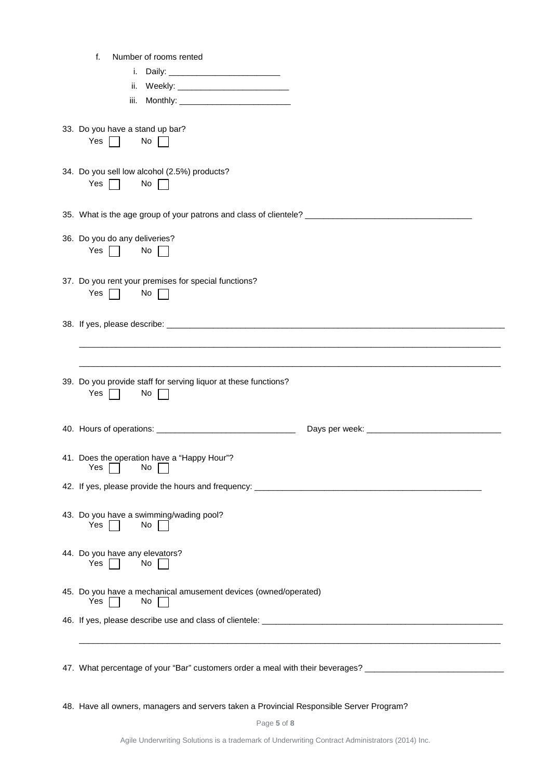| 47. What percentage of your "Bar" customers order a meal with their beverages? ____________________  |
|------------------------------------------------------------------------------------------------------|
|                                                                                                      |
| 45. Do you have a mechanical amusement devices (owned/operated)<br>Yes<br>No                         |
| 44. Do you have any elevators?<br>Yes<br>No                                                          |
| 43. Do you have a swimming/wading pool?<br>Yes<br>No                                                 |
|                                                                                                      |
| 41. Does the operation have a "Happy Hour"?<br>$\mathsf{No}$<br>Yes $\Box$                           |
|                                                                                                      |
| 39. Do you provide staff for serving liquor at these functions?<br>Yes $\Box$<br>No $\Box$           |
|                                                                                                      |
| 37. Do you rent your premises for special functions?<br>Yes $\Box$<br>No $\Box$                      |
| 36. Do you do any deliveries?<br>Yes $\Box$<br>No $\Box$                                             |
| 35. What is the age group of your patrons and class of clientele? __________________________________ |
| 34. Do you sell low alcohol (2.5%) products?<br>Yes $\Box$<br>No $\Box$                              |
| 33. Do you have a stand up bar?<br>$No \ \Box$<br>Yes $\Box$                                         |
| iii.                                                                                                 |
| i.<br>ii.                                                                                            |
| Number of rooms rented<br>f.                                                                         |

48. Have all owners, managers and servers taken a Provincial Responsible Server Program?

Page **5** of **8**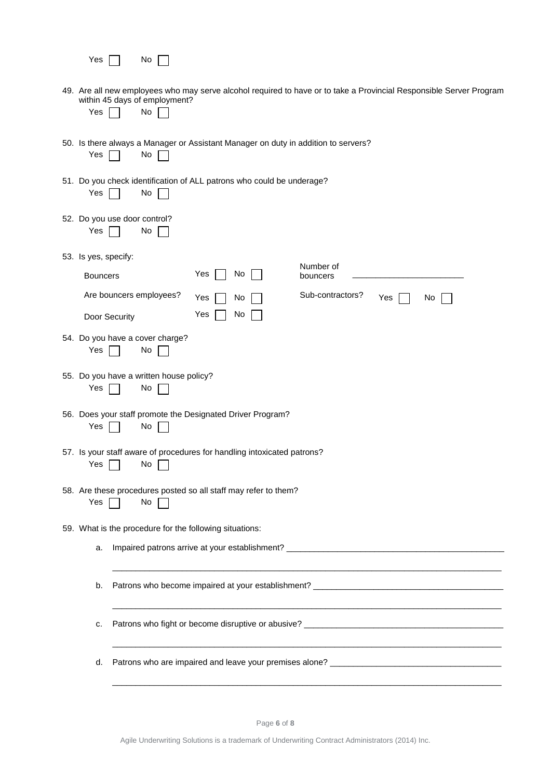| 49. Are all new employees who may serve alcohol required to have or to take a Provincial Responsible Server Program<br>within 45 days of employment?<br>Yes<br>No<br>50. Is there always a Manager or Assistant Manager on duty in addition to servers?<br>Yes<br>No<br>51. Do you check identification of ALL patrons who could be underage? |  |  |  |  |  |  |  |
|-----------------------------------------------------------------------------------------------------------------------------------------------------------------------------------------------------------------------------------------------------------------------------------------------------------------------------------------------|--|--|--|--|--|--|--|
|                                                                                                                                                                                                                                                                                                                                               |  |  |  |  |  |  |  |
|                                                                                                                                                                                                                                                                                                                                               |  |  |  |  |  |  |  |
| Yes<br>No                                                                                                                                                                                                                                                                                                                                     |  |  |  |  |  |  |  |
| 52. Do you use door control?<br>Yes<br>No                                                                                                                                                                                                                                                                                                     |  |  |  |  |  |  |  |
| 53. Is yes, specify:                                                                                                                                                                                                                                                                                                                          |  |  |  |  |  |  |  |
| Number of<br>Yes<br>No<br><b>Bouncers</b><br>bouncers                                                                                                                                                                                                                                                                                         |  |  |  |  |  |  |  |
| Are bouncers employees?<br>Sub-contractors?<br>Yes<br>No<br>Yes<br>No                                                                                                                                                                                                                                                                         |  |  |  |  |  |  |  |
| No<br>Yes<br>Door Security                                                                                                                                                                                                                                                                                                                    |  |  |  |  |  |  |  |
| 54. Do you have a cover charge?<br>Yes<br>No                                                                                                                                                                                                                                                                                                  |  |  |  |  |  |  |  |
| 55. Do you have a written house policy?<br>Yes<br>No                                                                                                                                                                                                                                                                                          |  |  |  |  |  |  |  |
| 56. Does your staff promote the Designated Driver Program?<br>Yes<br>No                                                                                                                                                                                                                                                                       |  |  |  |  |  |  |  |
| 57. Is your staff aware of procedures for handling intoxicated patrons?<br>Yes $\Box$<br>$No$ $\Box$                                                                                                                                                                                                                                          |  |  |  |  |  |  |  |
| 58. Are these procedures posted so all staff may refer to them?<br>Yes<br>No                                                                                                                                                                                                                                                                  |  |  |  |  |  |  |  |
| 59. What is the procedure for the following situations:                                                                                                                                                                                                                                                                                       |  |  |  |  |  |  |  |
| a.                                                                                                                                                                                                                                                                                                                                            |  |  |  |  |  |  |  |
| Patrons who become impaired at your establishment? ______________________________<br>b.                                                                                                                                                                                                                                                       |  |  |  |  |  |  |  |
| c.                                                                                                                                                                                                                                                                                                                                            |  |  |  |  |  |  |  |
| d.                                                                                                                                                                                                                                                                                                                                            |  |  |  |  |  |  |  |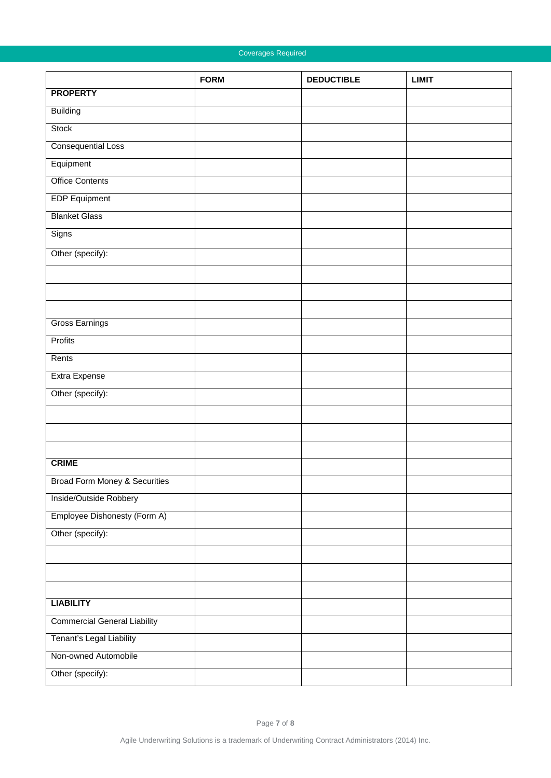## Coverages Required

|                                          | <b>FORM</b> | <b>DEDUCTIBLE</b> | <b>LIMIT</b> |
|------------------------------------------|-------------|-------------------|--------------|
| <b>PROPERTY</b>                          |             |                   |              |
| <b>Building</b>                          |             |                   |              |
| <b>Stock</b>                             |             |                   |              |
| <b>Consequential Loss</b>                |             |                   |              |
| Equipment                                |             |                   |              |
| <b>Office Contents</b>                   |             |                   |              |
| <b>EDP Equipment</b>                     |             |                   |              |
| <b>Blanket Glass</b>                     |             |                   |              |
| Signs                                    |             |                   |              |
| Other (specify):                         |             |                   |              |
|                                          |             |                   |              |
|                                          |             |                   |              |
|                                          |             |                   |              |
| <b>Gross Earnings</b>                    |             |                   |              |
| Profits                                  |             |                   |              |
| Rents                                    |             |                   |              |
| Extra Expense                            |             |                   |              |
| Other (specify):                         |             |                   |              |
|                                          |             |                   |              |
|                                          |             |                   |              |
|                                          |             |                   |              |
| <b>CRIME</b>                             |             |                   |              |
| <b>Broad Form Money &amp; Securities</b> |             |                   |              |
| Inside/Outside Robbery                   |             |                   |              |
| Employee Dishonesty (Form A)             |             |                   |              |
| Other (specify):                         |             |                   |              |
|                                          |             |                   |              |
|                                          |             |                   |              |
|                                          |             |                   |              |
| <b>LIABILITY</b>                         |             |                   |              |
| <b>Commercial General Liability</b>      |             |                   |              |
| Tenant's Legal Liability                 |             |                   |              |
| Non-owned Automobile                     |             |                   |              |
| Other (specify):                         |             |                   |              |